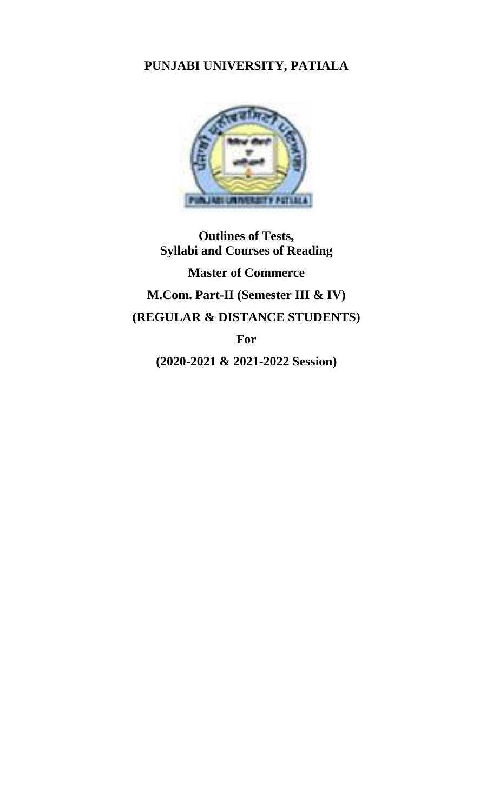# **PUNJABI UNIVERSITY, PATIALA**



**Outlines of Tests, Syllabi and Courses of Reading**

**Master of Commerce M.Com. Part-II (Semester III & IV) (REGULAR & DISTANCE STUDENTS) For** 

**(2020-2021 & 2021-2022 Session)**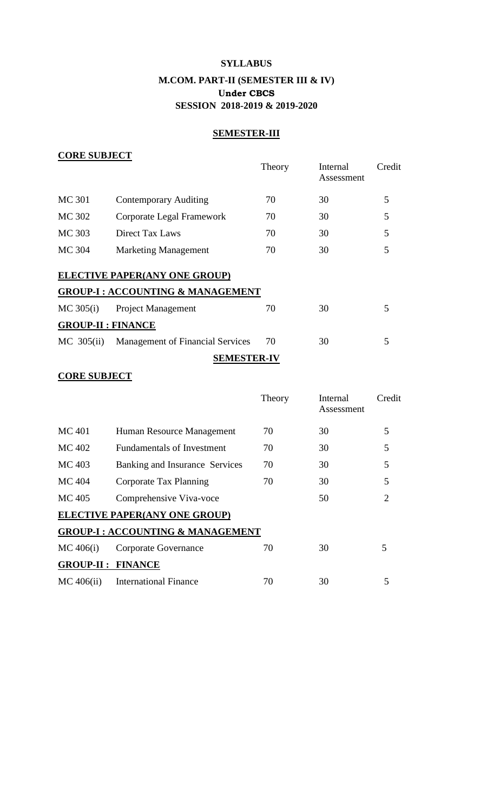# **SYLLABUS**

# **M.COM. PART-II (SEMESTER III & IV) Under CBCS SESSION 2018-2019 & 2019-2020**

# **SEMESTER-III**

# **CORE SUBJECT**

|                           |                                             | Theory | Internal<br>Assessment | Credit |
|---------------------------|---------------------------------------------|--------|------------------------|--------|
| <b>MC 301</b>             | <b>Contemporary Auditing</b>                | 70     | 30                     | 5      |
| MC 302                    | Corporate Legal Framework                   | 70     | 30                     | 5      |
| MC 303                    | Direct Tax Laws                             | 70     | 30                     | 5      |
| MC 304                    | <b>Marketing Management</b>                 | 70     | 30                     | 5      |
|                           | <b>ELECTIVE PAPER(ANY ONE GROUP)</b>        |        |                        |        |
|                           | <b>GROUP-I: ACCOUNTING &amp; MANAGEMENT</b> |        |                        |        |
| $MC$ 305 $(i)$            | <b>Project Management</b>                   | 70     | 30                     | 5      |
| <b>GROUP-II : FINANCE</b> |                                             |        |                        |        |
| MC $305(ii)$              | <b>Management of Financial Services</b>     | 70     | 30                     | 5      |
|                           | <b>SEMESTER-IV</b>                          |        |                        |        |

# **CORE SUBJECT**

|                          |                                             | Theory | Internal<br>Assessment | Credit                |
|--------------------------|---------------------------------------------|--------|------------------------|-----------------------|
| MC 401                   | Human Resource Management                   | 70     | 30                     | 5                     |
| MC 402                   | <b>Fundamentals of Investment</b>           | 70     | 30                     | 5                     |
| MC 403                   | Banking and Insurance Services              | 70     | 30                     | 5                     |
| MC 404                   | Corporate Tax Planning                      | 70     | 30                     | 5                     |
| MC 405                   | Comprehensive Viva-voce                     |        | 50                     | $\mathcal{D}_{\cdot}$ |
|                          | <b>ELECTIVE PAPER(ANY ONE GROUP)</b>        |        |                        |                       |
|                          | <b>GROUP-I: ACCOUNTING &amp; MANAGEMENT</b> |        |                        |                       |
| MC 406(i)                | Corporate Governance                        | 70     | 30                     | 5                     |
| <b>GROUP-II: FINANCE</b> |                                             |        |                        |                       |
| $MC$ 406(ii)             | <b>International Finance</b>                | 70     | 30                     | 5                     |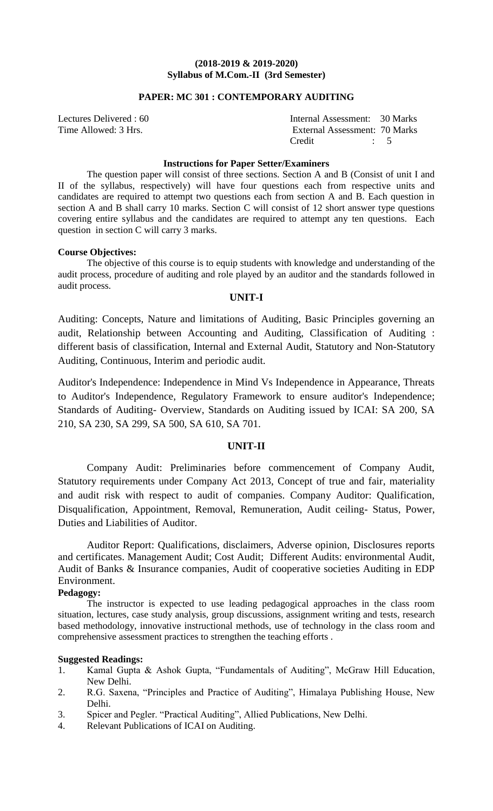# **PAPER: MC 301 : CONTEMPORARY AUDITING**

| Lectures Delivered : 60 | Internal Assessment: 30 Marks |  |
|-------------------------|-------------------------------|--|
| Time Allowed: 3 Hrs.    | External Assessment: 70 Marks |  |
|                         | Credit<br>$\therefore$ 5      |  |

### **Instructions for Paper Setter/Examiners**

The question paper will consist of three sections. Section A and B (Consist of unit I and II of the syllabus, respectively) will have four questions each from respective units and candidates are required to attempt two questions each from section A and B. Each question in section A and B shall carry 10 marks. Section C will consist of 12 short answer type questions covering entire syllabus and the candidates are required to attempt any ten questions. Each question in section C will carry 3 marks.

# **Course Objectives:**

The objective of this course is to equip students with knowledge and understanding of the audit process, procedure of auditing and role played by an auditor and the standards followed in audit process.

# **UNIT-I**

Auditing: Concepts, Nature and limitations of Auditing, Basic Principles governing an audit, Relationship between Accounting and Auditing, Classification of Auditing : different basis of classification, Internal and External Audit, Statutory and Non-Statutory Auditing, Continuous, Interim and periodic audit.

Auditor's Independence: Independence in Mind Vs Independence in Appearance, Threats to Auditor's Independence, Regulatory Framework to ensure auditor's Independence; Standards of Auditing- Overview, Standards on Auditing issued by ICAI: SA 200, SA 210, SA 230, SA 299, SA 500, SA 610, SA 701.

# **UNIT-II**

Company Audit: Preliminaries before commencement of Company Audit, Statutory requirements under Company Act 2013, Concept of true and fair, materiality and audit risk with respect to audit of companies. Company Auditor: Qualification, Disqualification, Appointment, Removal, Remuneration, Audit ceiling- Status, Power, Duties and Liabilities of Auditor.

Auditor Report: Qualifications, disclaimers, Adverse opinion, Disclosures reports and certificates. Management Audit; Cost Audit; Different Audits: environmental Audit, Audit of Banks & Insurance companies, Audit of cooperative societies Auditing in EDP Environment.

# **Pedagogy:**

The instructor is expected to use leading pedagogical approaches in the class room situation, lectures, case study analysis, group discussions, assignment writing and tests, research based methodology, innovative instructional methods, use of technology in the class room and comprehensive assessment practices to strengthen the teaching efforts .

- 1. Kamal Gupta & Ashok Gupta, "Fundamentals of Auditing", McGraw Hill Education, New Delhi.
- 2. R.G. Saxena, "Principles and Practice of Auditing", Himalaya Publishing House, New Delhi.
- 3. Spicer and Pegler. "Practical Auditing", Allied Publications, New Delhi.
- 4. Relevant Publications of ICAI on Auditing.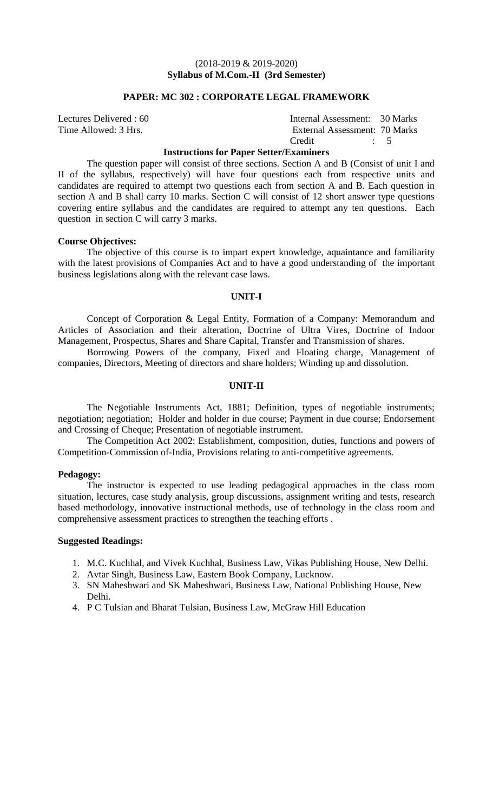### **PAPER: MC 302 : CORPORATE LEGAL FRAMEWORK**

| Lectures Delivered : 60 | Internal Assessment: 30 Marks |  |
|-------------------------|-------------------------------|--|
| Time Allowed: 3 Hrs.    | External Assessment: 70 Marks |  |
|                         | Credit                        |  |

**Instructions for Paper Setter/Examiners**

The question paper will consist of three sections. Section A and B (Consist of unit I and II of the syllabus, respectively) will have four questions each from respective units and candidates are required to attempt two questions each from section A and B. Each question in section A and B shall carry 10 marks. Section C will consist of 12 short answer type questions covering entire syllabus and the candidates are required to attempt any ten questions. Each question in section C will carry 3 marks.

#### **Course Objectives:**

The objective of this course is to impart expert knowledge, aquaintance and familiarity with the latest provisions of Companies Act and to have a good understanding of the important business legislations along with the relevant case laws.

### **UNIT-I**

Concept of Corporation & Legal Entity, Formation of a Company: Memorandum and Articles of Association and their alteration, Doctrine of Ultra Vires, Doctrine of Indoor Management, Prospectus, Shares and Share Capital, Transfer and Transmission of shares.

Borrowing Powers of the company, Fixed and Floating charge, Management of companies, Directors, Meeting of directors and share holders; Winding up and dissolution.

### **UNIT-II**

The Negotiable Instruments Act, 1881; Definition, types of negotiable instruments; negotiation; negotiation; Holder and holder in due course; Payment in due course; Endorsement and Crossing of Cheque; Presentation of negotiable instrument.

The Competition Act 2002: Establishment, composition, duties, functions and powers of Competition-Commission of-India, Provisions relating to anti-competitive agreements.

### **Pedagogy:**

The instructor is expected to use leading pedagogical approaches in the class room situation, lectures, case study analysis, group discussions, assignment writing and tests, research based methodology, innovative instructional methods, use of technology in the class room and comprehensive assessment practices to strengthen the teaching efforts .

- 1. M.C. Kuchhal, and Vivek Kuchhal, Business Law, Vikas Publishing House, New Delhi.
- 2. Avtar Singh, Business Law, Eastern Book Company, Lucknow.
- 3. SN Maheshwari and SK Maheshwari, Business Law, National Publishing House, New Delhi.
- 4. P C Tulsian and Bharat Tulsian, Business Law, McGraw Hill Education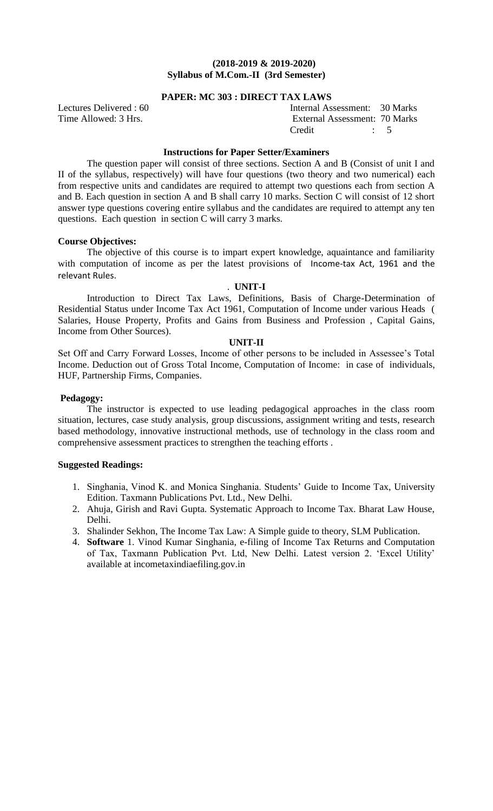# **PAPER: MC 303 : DIRECT TAX LAWS**

Lectures Delivered : 60 Internal Assessment: 30 Marks Time Allowed: 3 Hrs. **External Assessment: 70 Marks** Credit : 5

# **Instructions for Paper Setter/Examiners**

The question paper will consist of three sections. Section A and B (Consist of unit I and II of the syllabus, respectively) will have four questions (two theory and two numerical) each from respective units and candidates are required to attempt two questions each from section A and B. Each question in section A and B shall carry 10 marks. Section C will consist of 12 short answer type questions covering entire syllabus and the candidates are required to attempt any ten questions. Each question in section C will carry 3 marks.

### **Course Objectives:**

The objective of this course is to impart expert knowledge, aquaintance and familiarity with computation of income as per the latest provisions of Income-tax Act, 1961 and the relevant Rules.

# . **UNIT-I**

Introduction to Direct Tax Laws, Definitions, Basis of Charge-Determination of Residential Status under Income Tax Act 1961, Computation of Income under various Heads ( Salaries, House Property, Profits and Gains from Business and Profession , Capital Gains, Income from Other Sources).

### **UNIT-II**

Set Off and Carry Forward Losses, Income of other persons to be included in Assessee's Total Income. Deduction out of Gross Total Income, Computation of Income: in case of individuals, HUF, Partnership Firms, Companies.

### **Pedagogy:**

The instructor is expected to use leading pedagogical approaches in the class room situation, lectures, case study analysis, group discussions, assignment writing and tests, research based methodology, innovative instructional methods, use of technology in the class room and comprehensive assessment practices to strengthen the teaching efforts .

- 1. Singhania, Vinod K. and Monica Singhania. Students' Guide to Income Tax, University Edition. Taxmann Publications Pvt. Ltd., New Delhi.
- 2. Ahuja, Girish and Ravi Gupta. Systematic Approach to Income Tax. Bharat Law House, Delhi.
- 3. Shalinder Sekhon, The Income Tax Law: A Simple guide to theory, SLM Publication.
- 4. **Software** 1. Vinod Kumar Singhania, e-filing of Income Tax Returns and Computation of Tax, Taxmann Publication Pvt. Ltd, New Delhi. Latest version 2. 'Excel Utility' available at incometaxindiaefiling.gov.in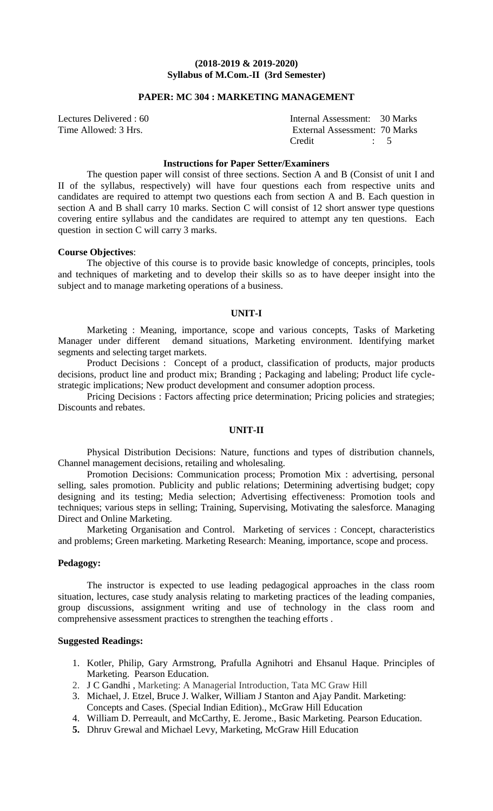### **PAPER: MC 304 : MARKETING MANAGEMENT**

| Lectures Delivered : 60 | Internal Assessment: 30 Marks |  |
|-------------------------|-------------------------------|--|
| Time Allowed: 3 Hrs.    | External Assessment: 70 Marks |  |
|                         | Credit<br>$\therefore$ 5      |  |

### **Instructions for Paper Setter/Examiners**

The question paper will consist of three sections. Section A and B (Consist of unit I and II of the syllabus, respectively) will have four questions each from respective units and candidates are required to attempt two questions each from section A and B. Each question in section A and B shall carry 10 marks. Section C will consist of 12 short answer type questions covering entire syllabus and the candidates are required to attempt any ten questions. Each question in section C will carry 3 marks.

### **Course Objectives**:

The objective of this course is to provide basic knowledge of concepts, principles, tools and techniques of marketing and to develop their skills so as to have deeper insight into the subject and to manage marketing operations of a business.

### **UNIT-I**

Marketing : Meaning, importance, scope and various concepts, Tasks of Marketing Manager under different demand situations, Marketing environment. Identifying market segments and selecting target markets.

Product Decisions : Concept of a product, classification of products, major products decisions, product line and product mix; Branding ; Packaging and labeling; Product life cyclestrategic implications; New product development and consumer adoption process.

Pricing Decisions : Factors affecting price determination; Pricing policies and strategies; Discounts and rebates.

### **UNIT-II**

Physical Distribution Decisions: Nature, functions and types of distribution channels, Channel management decisions, retailing and wholesaling.

Promotion Decisions: Communication process; Promotion Mix : advertising, personal selling, sales promotion. Publicity and public relations; Determining advertising budget; copy designing and its testing; Media selection; Advertising effectiveness: Promotion tools and techniques; various steps in selling; Training, Supervising, Motivating the salesforce. Managing Direct and Online Marketing.

Marketing Organisation and Control. Marketing of services : Concept, characteristics and problems; Green marketing. Marketing Research: Meaning, importance, scope and process.

### **Pedagogy:**

The instructor is expected to use leading pedagogical approaches in the class room situation, lectures, case study analysis relating to marketing practices of the leading companies, group discussions, assignment writing and use of technology in the class room and comprehensive assessment practices to strengthen the teaching efforts .

- 1. Kotler, Philip, Gary Armstrong, Prafulla Agnihotri and Ehsanul Haque. Principles of Marketing. Pearson Education.
- 2. J C Gandhi , Marketing: A Managerial Introduction, Tata MC Graw Hill
- 3. Michael, J. Etzel, Bruce J. Walker, William J Stanton and Ajay Pandit. Marketing: Concepts and Cases. (Special Indian Edition)., McGraw Hill Education
- 4. William D. Perreault, and McCarthy, E. Jerome., Basic Marketing. Pearson Education.
- **5.** Dhruv Grewal and Michael Levy, Marketing, McGraw Hill Education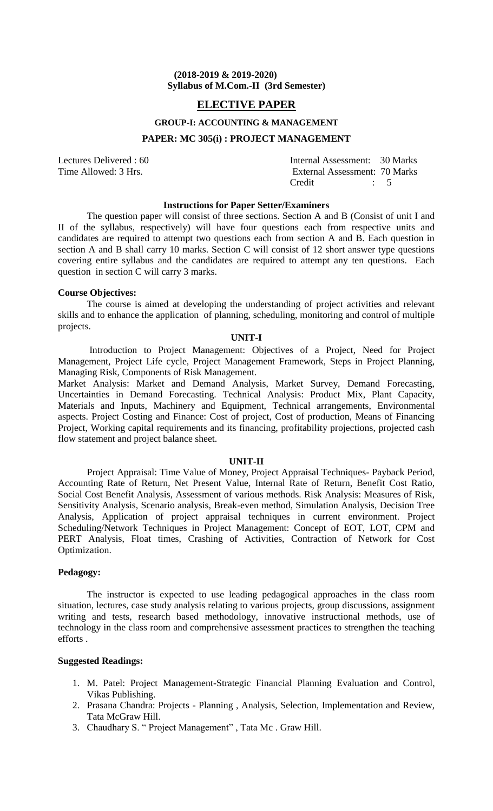# **ELECTIVE PAPER**

# **GROUP-I: ACCOUNTING & MANAGEMENT**

### **PAPER: MC 305(i) : PROJECT MANAGEMENT**

Lectures Delivered : 60 Internal Assessment: 30 Marks Time Allowed: 3 Hrs. External Assessment: 70 Marks Credit : 5

### **Instructions for Paper Setter/Examiners**

The question paper will consist of three sections. Section A and B (Consist of unit I and II of the syllabus, respectively) will have four questions each from respective units and candidates are required to attempt two questions each from section A and B. Each question in section A and B shall carry 10 marks. Section C will consist of 12 short answer type questions covering entire syllabus and the candidates are required to attempt any ten questions. Each question in section C will carry 3 marks.

### **Course Objectives:**

The course is aimed at developing the understanding of project activities and relevant skills and to enhance the application of planning, scheduling, monitoring and control of multiple projects.

### **UNIT-I**

Introduction to Project Management: Objectives of a Project, Need for Project Management, Project Life cycle, Project Management Framework, Steps in Project Planning, Managing Risk, Components of Risk Management.

Market Analysis: Market and Demand Analysis, Market Survey, Demand Forecasting, Uncertainties in Demand Forecasting. Technical Analysis: Product Mix, Plant Capacity, Materials and Inputs, Machinery and Equipment, Technical arrangements, Environmental aspects. Project Costing and Finance: Cost of project, Cost of production, Means of Financing Project, Working capital requirements and its financing, profitability projections, projected cash flow statement and project balance sheet.

#### **UNIT-II**

Project Appraisal: Time Value of Money, Project Appraisal Techniques- Payback Period, Accounting Rate of Return, Net Present Value, Internal Rate of Return, Benefit Cost Ratio, Social Cost Benefit Analysis, Assessment of various methods. Risk Analysis: Measures of Risk, Sensitivity Analysis, Scenario analysis, Break-even method, Simulation Analysis, Decision Tree Analysis, Application of project appraisal techniques in current environment. Project Scheduling/Network Techniques in Project Management: Concept of EOT, LOT, CPM and PERT Analysis, Float times, Crashing of Activities, Contraction of Network for Cost Optimization.

# **Pedagogy:**

The instructor is expected to use leading pedagogical approaches in the class room situation, lectures, case study analysis relating to various projects, group discussions, assignment writing and tests, research based methodology, innovative instructional methods, use of technology in the class room and comprehensive assessment practices to strengthen the teaching efforts .

- 1. M. Patel: Project Management-Strategic Financial Planning Evaluation and Control, Vikas Publishing.
- 2. Prasana Chandra: Projects Planning , Analysis, Selection, Implementation and Review, Tata McGraw Hill.
- 3. Chaudhary S. " Project Management" , Tata Mc . Graw Hill.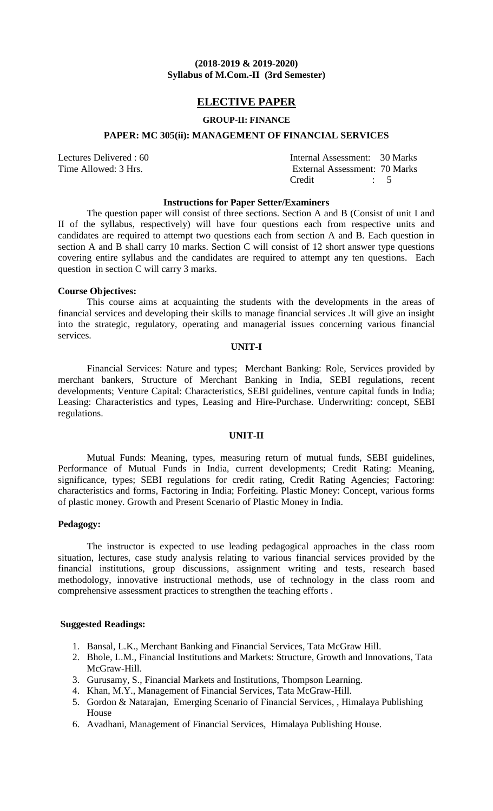# **ELECTIVE PAPER**

### **GROUP-II: FINANCE**

### **PAPER: MC 305(ii): MANAGEMENT OF FINANCIAL SERVICES**

Lectures Delivered : 60 Internal Assessment: 30 Marks Time Allowed: 3 Hrs. External Assessment: 70 Marks Credit : 5

### **Instructions for Paper Setter/Examiners**

The question paper will consist of three sections. Section A and B (Consist of unit I and II of the syllabus, respectively) will have four questions each from respective units and candidates are required to attempt two questions each from section A and B. Each question in section A and B shall carry 10 marks. Section C will consist of 12 short answer type questions covering entire syllabus and the candidates are required to attempt any ten questions. Each question in section C will carry 3 marks.

#### **Course Objectives:**

This course aims at acquainting the students with the developments in the areas of financial services and developing their skills to manage financial services .It will give an insight into the strategic, regulatory, operating and managerial issues concerning various financial services.

# **UNIT-I**

Financial Services: Nature and types; Merchant Banking: Role, Services provided by merchant bankers, Structure of Merchant Banking in India, SEBI regulations, recent developments; Venture Capital: Characteristics, SEBI guidelines, venture capital funds in India; Leasing: Characteristics and types, Leasing and Hire-Purchase. Underwriting: concept, SEBI regulations.

### **UNIT-II**

Mutual Funds: Meaning, types, measuring return of mutual funds, SEBI guidelines, Performance of Mutual Funds in India, current developments; Credit Rating: Meaning, significance, types; SEBI regulations for credit rating, Credit Rating Agencies; Factoring: characteristics and forms, Factoring in India; Forfeiting. Plastic Money: Concept, various forms of plastic money. Growth and Present Scenario of Plastic Money in India.

### **Pedagogy:**

The instructor is expected to use leading pedagogical approaches in the class room situation, lectures, case study analysis relating to various financial services provided by the financial institutions, group discussions, assignment writing and tests, research based methodology, innovative instructional methods, use of technology in the class room and comprehensive assessment practices to strengthen the teaching efforts .

- 1. Bansal, L.K., Merchant Banking and Financial Services, Tata McGraw Hill.
- 2. Bhole, L.M., Financial Institutions and Markets: Structure, Growth and Innovations, Tata McGraw-Hill.
- 3. Gurusamy, S., Financial Markets and Institutions, Thompson Learning.
- 4. Khan, M.Y., Management of Financial Services, Tata McGraw-Hill.
- 5. Gordon & Natarajan, Emerging Scenario of Financial Services, , Himalaya Publishing House
- 6. Avadhani, Management of Financial Services, Himalaya Publishing House.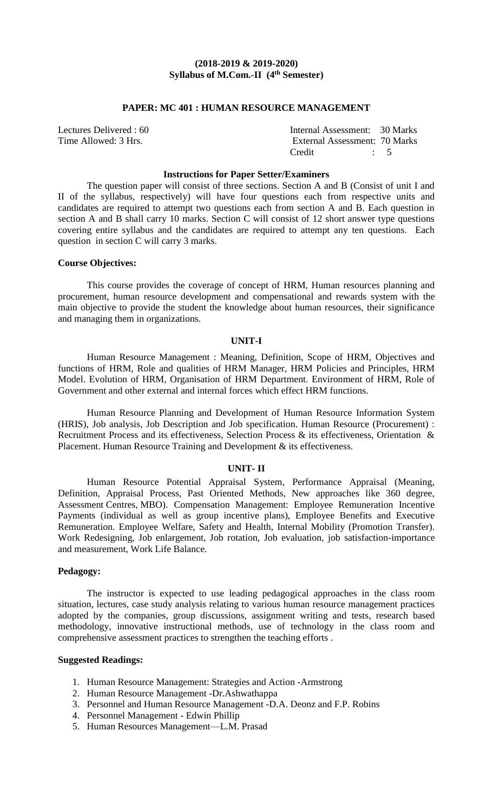### **PAPER: MC 401 : HUMAN RESOURCE MANAGEMENT**

| Lectures Delivered : 60 | Internal Assessment: 30 Marks                                                                                                                                                                                                                                                                                                 |  |
|-------------------------|-------------------------------------------------------------------------------------------------------------------------------------------------------------------------------------------------------------------------------------------------------------------------------------------------------------------------------|--|
| Time Allowed: 3 Hrs.    | External Assessment: 70 Marks                                                                                                                                                                                                                                                                                                 |  |
|                         | Credit<br>$\frac{1}{2}$ $\frac{1}{2}$ $\frac{1}{2}$ $\frac{1}{2}$ $\frac{1}{2}$ $\frac{1}{2}$ $\frac{1}{2}$ $\frac{1}{2}$ $\frac{1}{2}$ $\frac{1}{2}$ $\frac{1}{2}$ $\frac{1}{2}$ $\frac{1}{2}$ $\frac{1}{2}$ $\frac{1}{2}$ $\frac{1}{2}$ $\frac{1}{2}$ $\frac{1}{2}$ $\frac{1}{2}$ $\frac{1}{2}$ $\frac{1}{2}$ $\frac{1}{2}$ |  |

# **Instructions for Paper Setter/Examiners**

The question paper will consist of three sections. Section A and B (Consist of unit I and II of the syllabus, respectively) will have four questions each from respective units and candidates are required to attempt two questions each from section A and B. Each question in section A and B shall carry 10 marks. Section C will consist of 12 short answer type questions covering entire syllabus and the candidates are required to attempt any ten questions. Each question in section C will carry 3 marks.

### **Course Objectives:**

This course provides the coverage of concept of HRM, Human resources planning and procurement, human resource development and compensational and rewards system with the main objective to provide the student the knowledge about human resources, their significance and managing them in organizations.

### **UNIT-I**

Human Resource Management : Meaning, Definition, Scope of HRM, Objectives and functions of HRM, Role and qualities of HRM Manager, HRM Policies and Principles, HRM Model. Evolution of HRM, Organisation of HRM Department. Environment of HRM, Role of Government and other external and internal forces which effect HRM functions.

Human Resource Planning and Development of Human Resource Information System (HRIS), Job analysis, Job Description and Job specification. Human Resource (Procurement) : Recruitment Process and its effectiveness, Selection Process & its effectiveness, Orientation & Placement. Human Resource Training and Development & its effectiveness.

### **UNIT- II**

Human Resource Potential Appraisal System, Performance Appraisal (Meaning, Definition, Appraisal Process, Past Oriented Methods, New approaches like 360 degree, Assessment Centres, MBO). Compensation Management: Employee Remuneration Incentive Payments (individual as well as group incentive plans), Employee Benefits and Executive Remuneration. Employee Welfare, Safety and Health, Internal Mobility (Promotion Transfer). Work Redesigning, Job enlargement, Job rotation, Job evaluation, job satisfaction-importance and measurement, Work Life Balance.

# **Pedagogy:**

The instructor is expected to use leading pedagogical approaches in the class room situation, lectures, case study analysis relating to various human resource management practices adopted by the companies, group discussions, assignment writing and tests, research based methodology, innovative instructional methods, use of technology in the class room and comprehensive assessment practices to strengthen the teaching efforts .

- 1. Human Resource Management: Strategies and Action -Armstrong
- 2. Human Resource Management -Dr.Ashwathappa
- 3. Personnel and Human Resource Management -D.A. Deonz and F.P. Robins
- 4. Personnel Management Edwin Phillip
- 5. Human Resources Management—L.M. Prasad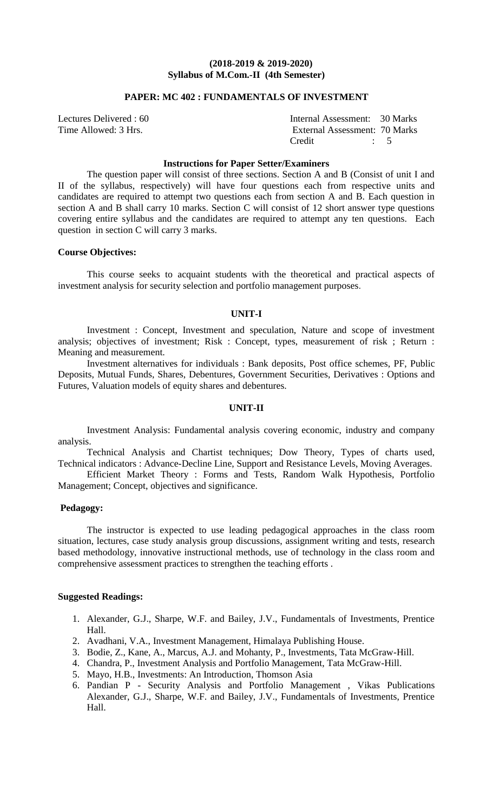# **PAPER: MC 402 : FUNDAMENTALS OF INVESTMENT**

| Lectures Delivered : 60 | Internal Assessment: 30 Marks |  |
|-------------------------|-------------------------------|--|
| Time Allowed: 3 Hrs.    | External Assessment: 70 Marks |  |
|                         | Credit                        |  |

### **Instructions for Paper Setter/Examiners**

The question paper will consist of three sections. Section A and B (Consist of unit I and II of the syllabus, respectively) will have four questions each from respective units and candidates are required to attempt two questions each from section A and B. Each question in section A and B shall carry 10 marks. Section C will consist of 12 short answer type questions covering entire syllabus and the candidates are required to attempt any ten questions. Each question in section C will carry 3 marks.

### **Course Objectives:**

This course seeks to acquaint students with the theoretical and practical aspects of investment analysis for security selection and portfolio management purposes.

#### **UNIT-I**

Investment : Concept, Investment and speculation, Nature and scope of investment analysis; objectives of investment; Risk : Concept, types, measurement of risk ; Return : Meaning and measurement.

Investment alternatives for individuals : Bank deposits, Post office schemes, PF, Public Deposits, Mutual Funds, Shares, Debentures, Government Securities, Derivatives : Options and Futures, Valuation models of equity shares and debentures.

### **UNIT-II**

Investment Analysis: Fundamental analysis covering economic, industry and company analysis.

Technical Analysis and Chartist techniques; Dow Theory, Types of charts used, Technical indicators : Advance-Decline Line, Support and Resistance Levels, Moving Averages.

Efficient Market Theory : Forms and Tests, Random Walk Hypothesis, Portfolio Management; Concept, objectives and significance.

### **Pedagogy:**

The instructor is expected to use leading pedagogical approaches in the class room situation, lectures, case study analysis group discussions, assignment writing and tests, research based methodology, innovative instructional methods, use of technology in the class room and comprehensive assessment practices to strengthen the teaching efforts .

- 1. Alexander, G.J., Sharpe, W.F. and Bailey, J.V., Fundamentals of Investments, Prentice Hall.
- 2. Avadhani, V.A., Investment Management, Himalaya Publishing House.
- 3. Bodie, Z., Kane, A., Marcus, A.J. and Mohanty, P., Investments, Tata McGraw-Hill.
- 4. Chandra, P., Investment Analysis and Portfolio Management, Tata McGraw-Hill.
- 5. Mayo, H.B., Investments: An Introduction, Thomson Asia
- 6. Pandian P Security Analysis and Portfolio Management , Vikas Publications Alexander, G.J., Sharpe, W.F. and Bailey, J.V., Fundamentals of Investments, Prentice Hall.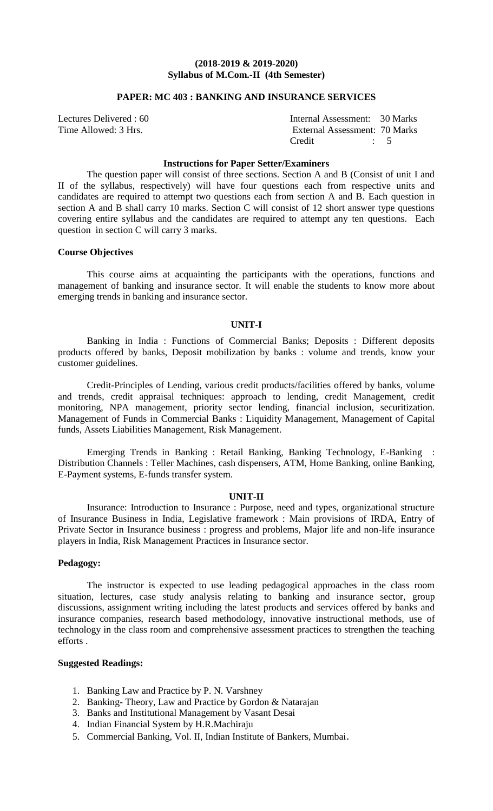# **PAPER: MC 403 : BANKING AND INSURANCE SERVICES**

| Lectures Delivered : 60 | Internal Assessment: 30 Marks |  |
|-------------------------|-------------------------------|--|
| Time Allowed: 3 Hrs.    | External Assessment: 70 Marks |  |
|                         | Credit                        |  |

### **Instructions for Paper Setter/Examiners**

The question paper will consist of three sections. Section A and B (Consist of unit I and II of the syllabus, respectively) will have four questions each from respective units and candidates are required to attempt two questions each from section A and B. Each question in section A and B shall carry 10 marks. Section C will consist of 12 short answer type questions covering entire syllabus and the candidates are required to attempt any ten questions. Each question in section C will carry 3 marks.

### **Course Objectives**

This course aims at acquainting the participants with the operations, functions and management of banking and insurance sector. It will enable the students to know more about emerging trends in banking and insurance sector.

#### **UNIT-I**

Banking in India : Functions of Commercial Banks; Deposits : Different deposits products offered by banks, Deposit mobilization by banks : volume and trends, know your customer guidelines.

Credit-Principles of Lending, various credit products/facilities offered by banks, volume and trends, credit appraisal techniques: approach to lending, credit Management, credit monitoring, NPA management, priority sector lending, financial inclusion, securitization. Management of Funds in Commercial Banks : Liquidity Management, Management of Capital funds, Assets Liabilities Management, Risk Management.

Emerging Trends in Banking : Retail Banking, Banking Technology, E-Banking : Distribution Channels : Teller Machines, cash dispensers, ATM, Home Banking, online Banking, E-Payment systems, E-funds transfer system.

### **UNIT-II**

Insurance: Introduction to Insurance : Purpose, need and types, organizational structure of Insurance Business in India, Legislative framework : Main provisions of IRDA, Entry of Private Sector in Insurance business : progress and problems, Major life and non-life insurance players in India, Risk Management Practices in Insurance sector.

# **Pedagogy:**

The instructor is expected to use leading pedagogical approaches in the class room situation, lectures, case study analysis relating to banking and insurance sector, group discussions, assignment writing including the latest products and services offered by banks and insurance companies, research based methodology, innovative instructional methods, use of technology in the class room and comprehensive assessment practices to strengthen the teaching efforts .

- 1. Banking Law and Practice by P. N. Varshney
- 2. Banking- Theory, Law and Practice by Gordon & Natarajan
- 3. Banks and Institutional Management by Vasant Desai
- 4. Indian Financial System by H.R.Machiraju
- 5. Commercial Banking, Vol. II, Indian Institute of Bankers, Mumbai.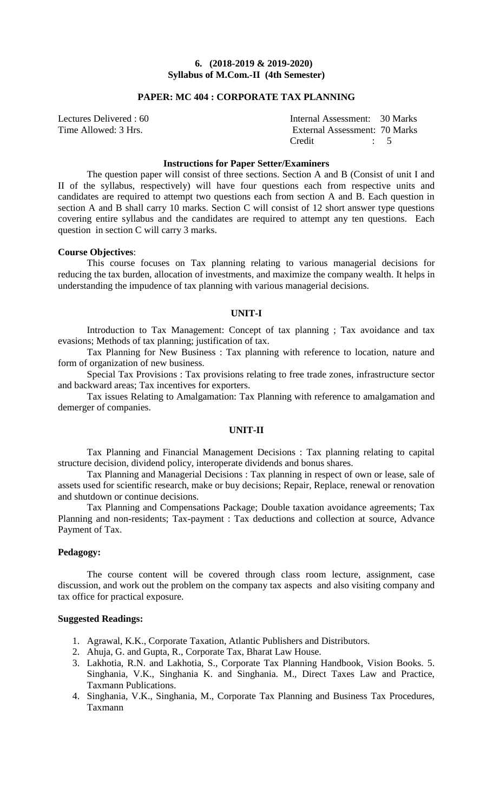# **PAPER: MC 404 : CORPORATE TAX PLANNING**

| Lectures Delivered : 60 | Internal Assessment: 30 Marks |  |
|-------------------------|-------------------------------|--|
| Time Allowed: 3 Hrs.    | External Assessment: 70 Marks |  |
|                         | Credit<br>$\ddots$ $\ddots$ 5 |  |

### **Instructions for Paper Setter/Examiners**

The question paper will consist of three sections. Section A and B (Consist of unit I and II of the syllabus, respectively) will have four questions each from respective units and candidates are required to attempt two questions each from section A and B. Each question in section A and B shall carry 10 marks. Section C will consist of 12 short answer type questions covering entire syllabus and the candidates are required to attempt any ten questions. Each question in section C will carry 3 marks.

#### **Course Objectives**:

This course focuses on Tax planning relating to various managerial decisions for reducing the tax burden, allocation of investments, and maximize the company wealth. It helps in understanding the impudence of tax planning with various managerial decisions.

### **UNIT-I**

Introduction to Tax Management: Concept of tax planning ; Tax avoidance and tax evasions; Methods of tax planning; justification of tax.

Tax Planning for New Business : Tax planning with reference to location, nature and form of organization of new business.

Special Tax Provisions : Tax provisions relating to free trade zones, infrastructure sector and backward areas; Tax incentives for exporters.

Tax issues Relating to Amalgamation: Tax Planning with reference to amalgamation and demerger of companies.

#### **UNIT-II**

Tax Planning and Financial Management Decisions : Tax planning relating to capital structure decision, dividend policy, interoperate dividends and bonus shares.

Tax Planning and Managerial Decisions : Tax planning in respect of own or lease, sale of assets used for scientific research, make or buy decisions; Repair, Replace, renewal or renovation and shutdown or continue decisions.

Tax Planning and Compensations Package; Double taxation avoidance agreements; Tax Planning and non-residents; Tax-payment : Tax deductions and collection at source, Advance Payment of Tax.

### **Pedagogy:**

The course content will be covered through class room lecture, assignment, case discussion, and work out the problem on the company tax aspects and also visiting company and tax office for practical exposure.

- 1. Agrawal, K.K., Corporate Taxation, Atlantic Publishers and Distributors.
- 2. Ahuja, G. and Gupta, R., Corporate Tax, Bharat Law House.
- 3. Lakhotia, R.N. and Lakhotia, S., Corporate Tax Planning Handbook, Vision Books. 5. Singhania, V.K., Singhania K. and Singhania. M., Direct Taxes Law and Practice, Taxmann Publications.
- 4. Singhania, V.K., Singhania, M., Corporate Tax Planning and Business Tax Procedures, Taxmann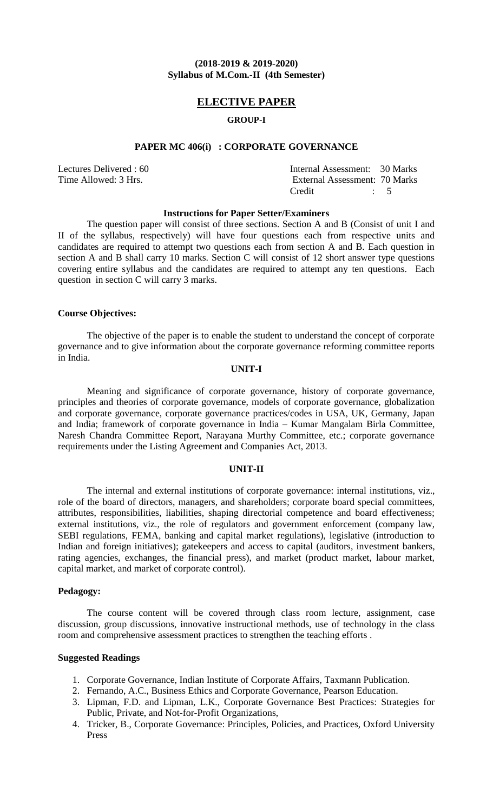# **ELECTIVE PAPER**

# **GROUP-I**

### **PAPER MC 406(i) : CORPORATE GOVERNANCE**

Lectures Delivered : 60 Time Allowed: 3 Hrs.

| Internal Assessment: 30 Marks |           |  |
|-------------------------------|-----------|--|
| External Assessment: 70 Marks |           |  |
| Credit                        | $\cdot$ 5 |  |

#### **Instructions for Paper Setter/Examiners**

The question paper will consist of three sections. Section A and B (Consist of unit I and II of the syllabus, respectively) will have four questions each from respective units and candidates are required to attempt two questions each from section A and B. Each question in section A and B shall carry 10 marks. Section C will consist of 12 short answer type questions covering entire syllabus and the candidates are required to attempt any ten questions. Each question in section C will carry 3 marks.

### **Course Objectives:**

The objective of the paper is to enable the student to understand the concept of corporate governance and to give information about the corporate governance reforming committee reports in India.

# **UNIT-I**

Meaning and significance of corporate governance, history of corporate governance, principles and theories of corporate governance, models of corporate governance, globalization and corporate governance, corporate governance practices/codes in USA, UK, Germany, Japan and India; framework of corporate governance in India – Kumar Mangalam Birla Committee, Naresh Chandra Committee Report, Narayana Murthy Committee, etc.; corporate governance requirements under the Listing Agreement and Companies Act, 2013.

# **UNIT-II**

The internal and external institutions of corporate governance: internal institutions, viz., role of the board of directors, managers, and shareholders; corporate board special committees, attributes, responsibilities, liabilities, shaping directorial competence and board effectiveness; external institutions, viz., the role of regulators and government enforcement (company law, SEBI regulations, FEMA, banking and capital market regulations), legislative (introduction to Indian and foreign initiatives); gatekeepers and access to capital (auditors, investment bankers, rating agencies, exchanges, the financial press), and market (product market, labour market, capital market, and market of corporate control).

### **Pedagogy:**

The course content will be covered through class room lecture, assignment, case discussion, group discussions, innovative instructional methods, use of technology in the class room and comprehensive assessment practices to strengthen the teaching efforts .

- 1. Corporate Governance, Indian Institute of Corporate Affairs, Taxmann Publication.
- 2. Fernando, A.C., Business Ethics and Corporate Governance, Pearson Education.
- 3. Lipman, F.D. and Lipman, L.K., Corporate Governance Best Practices: Strategies for Public, Private, and Not-for-Profit Organizations,
- 4. Tricker, B., Corporate Governance: Principles, Policies, and Practices, Oxford University Press